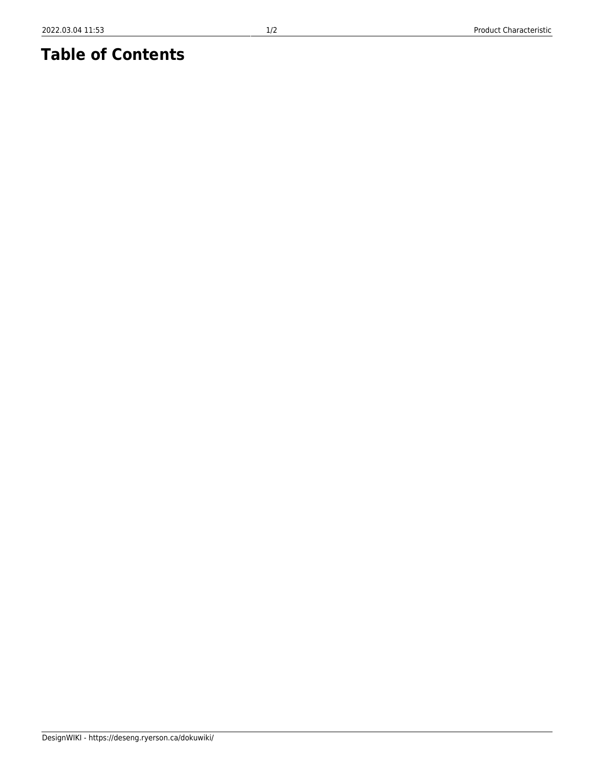## **Table of Contents**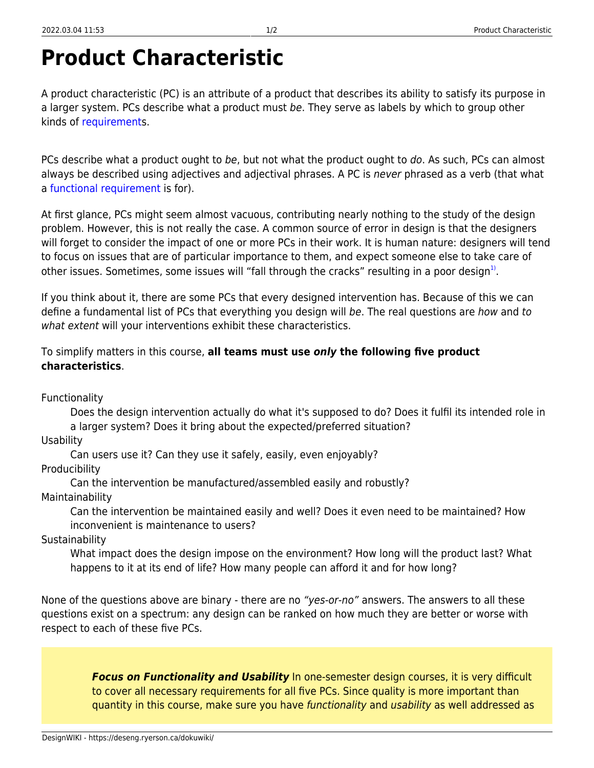## **Product Characteristic**

A product characteristic (PC) is an attribute of a product that describes its ability to satisfy its purpose in a larger system. PCs describe what a product must be. They serve as labels by which to group other kinds of [requirement](https://deseng.ryerson.ca/dokuwiki/design:requirement)s.

PCs describe what a product ought to be, but not what the product ought to do. As such, PCs can almost always be described using adjectives and adjectival phrases. A PC is never phrased as a verb (that what a [functional requirement](https://deseng.ryerson.ca/dokuwiki/design:functional_requirement) is for).

At first glance, PCs might seem almost vacuous, contributing nearly nothing to the study of the design problem. However, this is not really the case. A common source of error in design is that the designers will forget to consider the impact of one or more PCs in their work. It is human nature: designers will tend to focus on issues that are of particular importance to them, and expect someone else to take care of other issues. Sometimes, some issues will "fall through the cracks" resulting in a poor design $^{1)}$  $^{1)}$  $^{1)}$ .

If you think about it, there are some PCs that every designed intervention has. Because of this we can define a fundamental list of PCs that everything you design will be. The real questions are how and to what extent will your interventions exhibit these characteristics.

## To simplify matters in this course, **all teams must use** *only* **the following five product characteristics**.

Functionality

Does the design intervention actually do what it's supposed to do? Does it fulfil its intended role in a larger system? Does it bring about the expected/preferred situation?

**Usability** 

Can users use it? Can they use it safely, easily, even enjoyably?

**Producibility** 

Can the intervention be manufactured/assembled easily and robustly? Maintainability

Can the intervention be maintained easily and well? Does it even need to be maintained? How inconvenient is maintenance to users?

**Sustainability** 

What impact does the design impose on the environment? How long will the product last? What happens to it at its end of life? How many people can afford it and for how long?

None of the questions above are binary - there are no "yes-or-no" answers. The answers to all these questions exist on a spectrum: any design can be ranked on how much they are better or worse with respect to each of these five PCs.

> *Focus on Functionality and Usability* In one-semester design courses, it is very difficult to cover all necessary requirements for all five PCs. Since quality is more important than quantity in this course, make sure you have functionality and usability as well addressed as